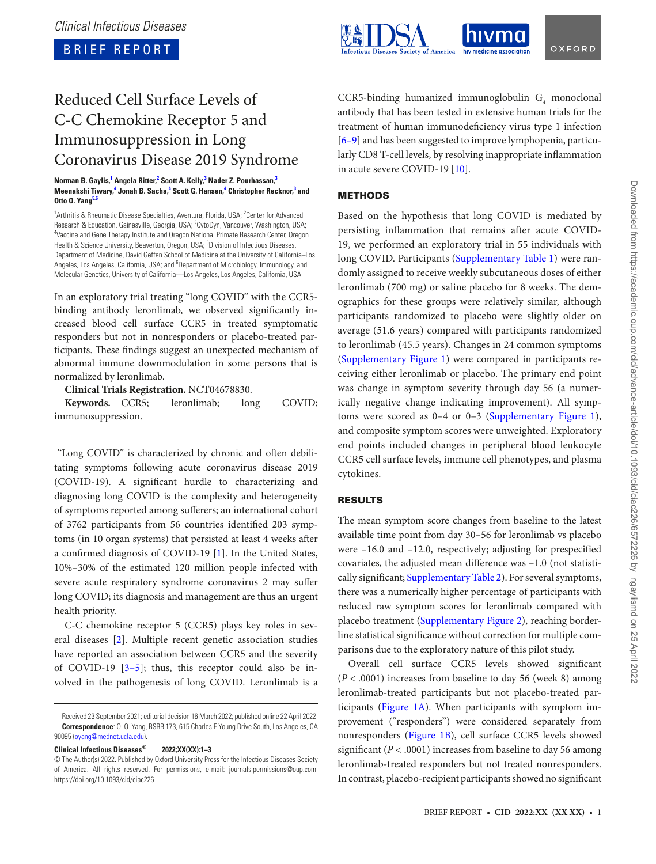BRIEF REPORT



# Reduced Cell Surface Levels of C-C Chemokine Receptor 5 and Immunosuppression in Long Coronavirus Disease 2019 Syndrome

#### **Norman B. Gaylis, [1](#page-0-0) Angela Ritter, [2](#page-0-1) Scott A. Kelly, [3](#page-0-2) Nader Z. Pourhassan, [3](#page-0-2)**  $M$ eenakshi Tiwary,<sup>[4](#page-0-3)</sup> Jonah B. Sacha,<sup>4</sup> Scott G. Hansen,<sup>4</sup> Christopher Recknor,<sup>[3](#page-0-2)</sup> and **Otto O. Yang[5,](#page-0-4)[6](#page-0-5)**

<span id="page-0-4"></span><span id="page-0-3"></span><span id="page-0-2"></span><span id="page-0-1"></span><span id="page-0-0"></span><sup>1</sup> Arthritis & Rheumatic Disease Specialties, Aventura, Florida, USA; <sup>2</sup> Center for Advanced Research & Education, Gainesville, Georgia, USA; <sup>3</sup>CytoDyn, Vancouver, Washington, USA;<br><sup>4</sup>Vecsine and Gone Therany Institute and Oregon National Primate Besearch Center, Oregon <sup>4</sup>Vaccine and Gene Therapy Institute and Oregon National Primate Research Center, Oregon Health & Science University, Beaverton, Oregon, USA; <sup>5</sup>Division of Infectious Diseases, Department of Medicine, David Geffen School of Medicine at the University of California–Los Angeles, Los Angeles, California, USA; and <sup>6</sup>Department of Microbiology, Immunology, and Molecular Genetics, University of California—Los Angeles, Los Angeles, California, USA

<span id="page-0-5"></span>In an exploratory trial treating "long COVID" with the CCR5 binding antibody leronlimab, we observed signifcantly increased blood cell surface CCR5 in treated symptomatic responders but not in nonresponders or placebo-treated participants. These findings suggest an unexpected mechanism of abnormal immune downmodulation in some persons that is normalized by leronlimab.

**Clinical Trials Registration.** NCT04678830.

| <b>Keywords.</b> CCR5; |  | leronlimab: | long | COVID; |
|------------------------|--|-------------|------|--------|
| immunosuppression.     |  |             |      |        |

"Long COVID" is characterized by chronic and often debilitating symptoms following acute coronavirus disease 2019 (COVID-19). A signifcant hurdle to characterizing and diagnosing long COVID is the complexity and heterogeneity of symptoms reported among suferers; an international cohort of 3762 participants from 56 countries identifed 203 symptoms (in 10 organ systems) that persisted at least 4 weeks afer a confrmed diagnosis of COVID-19 [\[1\]](#page-2-0). In the United States, 10%–30% of the estimated 120 million people infected with severe acute respiratory syndrome coronavirus 2 may sufer long COVID; its diagnosis and management are thus an urgent health priority.

<span id="page-0-7"></span>C-C chemokine receptor 5 (CCR5) plays key roles in several diseases [\[2](#page-2-1)]. Multiple recent genetic association studies have reported an association between CCR5 and the severity of COVID-19 [[3](#page-2-2)[–5\]](#page-2-3); thus, this receptor could also be involved in the pathogenesis of long COVID. Leronlimab is a

**Clinical Infectious Diseases® 2022;XX(XX):1–3**

<span id="page-0-9"></span>CCR5-binding humanized immunoglobulin  $G_4$  monoclonal antibody that has been tested in extensive human trials for the treatment of human immunodefciency virus type 1 infection [\[6–](#page-2-4)[9](#page-2-5)] and has been suggested to improve lymphopenia, particularly CD8 T-cell levels, by resolving inappropriate infammation in acute severe COVID-19 [[10](#page-2-6)].

# <span id="page-0-10"></span>METHODS

Based on the hypothesis that long COVID is mediated by persisting inflammation that remains after acute COVID-19, we performed an exploratory trial in 55 individuals with long COVID. Participants ([Supplementary Table 1\)](http://academic.oup.com/cid/article-lookup/doi/10.1093/cid/ciac226#supplementary-data) were randomly assigned to receive weekly subcutaneous doses of either leronlimab (700 mg) or saline placebo for 8 weeks. The demographics for these groups were relatively similar, although participants randomized to placebo were slightly older on average (51.6 years) compared with participants randomized to leronlimab (45.5 years). Changes in 24 common symptoms [\(Supplementary Figure 1\)](http://academic.oup.com/cid/article-lookup/doi/10.1093/cid/ciac226#supplementary-data) were compared in participants receiving either leronlimab or placebo. The primary end point was change in symptom severity through day 56 (a numerically negative change indicating improvement). All symptoms were scored as 0–4 or 0–3 [\(Supplementary Figure 1](http://academic.oup.com/cid/article-lookup/doi/10.1093/cid/ciac226#supplementary-data)), and composite symptom scores were unweighted. Exploratory end points included changes in peripheral blood leukocyte CCR5 cell surface levels, immune cell phenotypes, and plasma cytokines.

## RESULTS

<span id="page-0-6"></span>The mean symptom score changes from baseline to the latest available time point from day 30–56 for leronlimab vs placebo were –16.0 and –12.0, respectively; adjusting for prespecified covariates, the adjusted mean difference was –1.0 (not statistically significant; [Supplementary Table 2](http://academic.oup.com/cid/article-lookup/doi/10.1093/cid/ciac226#supplementary-data)). For several symptoms, there was a numerically higher percentage of participants with reduced raw symptom scores for leronlimab compared with placebo treatment ([Supplementary Figure 2\)](http://academic.oup.com/cid/article-lookup/doi/10.1093/cid/ciac226#supplementary-data), reaching borderline statistical significance without correction for multiple comparisons due to the exploratory nature of this pilot study.

<span id="page-0-8"></span>Overall cell surface CCR5 levels showed signifcant (*P* < .0001) increases from baseline to day 56 (week 8) among leronlimab-treated participants but not placebo-treated participants ([Figure 1A](#page-1-0)). When participants with symptom improvement ("responders") were considered separately from nonresponders ([Figure 1B](#page-1-0)), cell surface CCR5 levels showed significant ( $P < .0001$ ) increases from baseline to day 56 among leronlimab-treated responders but not treated nonresponders. In contrast, placebo-recipient participants showed no signifcant

Received 23 September 2021; editorial decision 16 March 2022; published online 22 April 2022. **Correspondence**: O. O. Yang, BSRB 173, 615 Charles E Young Drive South, Los Angeles, CA 90095 ([oyang@mednet.ucla.edu](mailto:oyang@mednet.ucla.edu?subject=)).

<sup>©</sup> The Author(s) 2022. Published by Oxford University Press for the Infectious Diseases Society of America. All rights reserved. For permissions, e-mail: journals.permissions@oup.com. https://doi.org/10.1093/cid/ciac226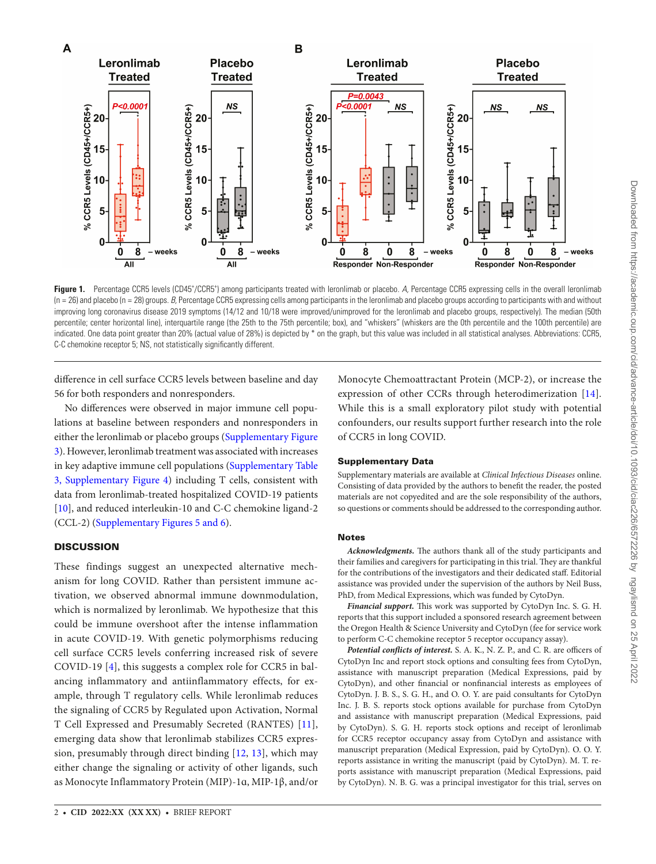

<span id="page-1-0"></span>Figure 1. Percentage CCR5 levels (CD45+/CCR5+) among participants treated with leronlimab or placebo. A, Percentage CCR5 expressing cells in the overall leronlimab (n = 26) and placebo (n = 28) groups. *B,* Percentage CCR5 expressing cells among participants in the leronlimab and placebo groups according to participants with and without improving long coronavirus disease 2019 symptoms (14/12 and 10/18 were improved/unimproved for the leronlimab and placebo groups, respectively). The median (50th percentile; center horizontal line), interquartile range (the 25th to the 75th percentile; box), and "whiskers" (whiskers are the 0th percentile and the 100th percentile) are indicated. One data point greater than 20% (actual value of 28%) is depicted by \* on the graph, but this value was included in all statistical analyses. Abbreviations: CCR5, C-C chemokine receptor 5; NS, not statistically signifcantly different.

diference in cell surface CCR5 levels between baseline and day 56 for both responders and nonresponders.

No diferences were observed in major immune cell populations at baseline between responders and nonresponders in either the leronlimab or placebo groups ([Supplementary Figure](http://academic.oup.com/cid/article-lookup/doi/10.1093/cid/ciac226#supplementary-data)  [3\)](http://academic.oup.com/cid/article-lookup/doi/10.1093/cid/ciac226#supplementary-data). However, leronlimab treatment was associated with increases in key adaptive immune cell populations [\(Supplementary Table](http://academic.oup.com/cid/article-lookup/doi/10.1093/cid/ciac226#supplementary-data)  [3, Supplementary Figure 4](http://academic.oup.com/cid/article-lookup/doi/10.1093/cid/ciac226#supplementary-data)) including T cells, consistent with data from leronlimab-treated hospitalized COVID-19 patients [\[10](#page-2-6)], and reduced interleukin-10 and C-C chemokine ligand-2 (CCL-2) ([Supplementary Figures 5 and 6](http://academic.oup.com/cid/article-lookup/doi/10.1093/cid/ciac226#supplementary-data)).

## **DISCUSSION**

<span id="page-1-1"></span>These findings suggest an unexpected alternative mechanism for long COVID. Rather than persistent immune activation, we observed abnormal immune downmodulation, which is normalized by leronlimab. We hypothesize that this could be immune overshoot after the intense inflammation in acute COVID-19. With genetic polymorphisms reducing cell surface CCR5 levels conferring increased risk of severe COVID-19 [\[4](#page-2-7)], this suggests a complex role for CCR5 in balancing inflammatory and antiinflammatory effects, for example, through T regulatory cells. While leronlimab reduces the signaling of CCR5 by Regulated upon Activation, Normal T Cell Expressed and Presumably Secreted (RANTES) [\[11](#page-2-8)], emerging data show that leronlimab stabilizes CCR5 expression, presumably through direct binding [[12,](#page-2-9) [13](#page-2-10)], which may either change the signaling or activity of other ligands, such as Monocyte Inflammatory Protein (MIP)-1ɑ, MIP-1β, and/or

<span id="page-1-5"></span>Monocyte Chemoattractant Protein (MCP-2), or increase the expression of other CCRs through heterodimerization [[14](#page-2-11)]. While this is a small exploratory pilot study with potential confounders, our results support further research into the role of CCR5 in long COVID.

## Supplementary Data

Supplementary materials are available at *Clinical Infectious Diseases* online. Consisting of data provided by the authors to beneft the reader, the posted materials are not copyedited and are the sole responsibility of the authors, so questions or comments should be addressed to the corresponding author.

#### **Notes**

Acknowledgments. The authors thank all of the study participants and their families and caregivers for participating in this trial. They are thankful for the contributions of the investigators and their dedicated staf. Editorial assistance was provided under the supervision of the authors by Neil Buss, PhD, from Medical Expressions, which was funded by CytoDyn.

Financial support. This work was supported by CytoDyn Inc. S. G. H. reports that this support included a sponsored research agreement between the Oregon Health & Science University and CytoDyn (fee for service work to perform C-C chemokine receptor 5 receptor occupancy assay).

<span id="page-1-4"></span><span id="page-1-3"></span><span id="page-1-2"></span>Potential conflicts of interest. S. A. K., N. Z. P., and C. R. are officers of CytoDyn Inc and report stock options and consulting fees from CytoDyn, assistance with manuscript preparation (Medical Expressions, paid by CytoDyn), and other fnancial or nonfnancial interests as employees of CytoDyn. J. B. S., S. G. H., and O. O. Y. are paid consultants for CytoDyn Inc. J. B. S. reports stock options available for purchase from CytoDyn and assistance with manuscript preparation (Medical Expressions, paid by CytoDyn). S. G. H. reports stock options and receipt of leronlimab for CCR5 receptor occupancy assay from CytoDyn and assistance with manuscript preparation (Medical Expression, paid by CytoDyn). O. O. Y. reports assistance in writing the manuscript (paid by CytoDyn). M. T. reports assistance with manuscript preparation (Medical Expressions, paid by CytoDyn). N. B. G. was a principal investigator for this trial, serves on